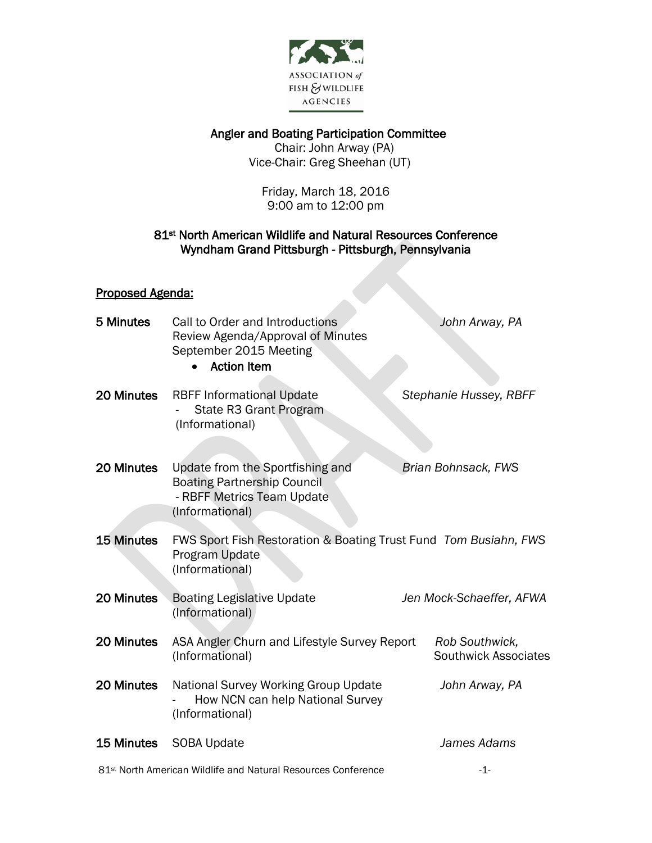

Angler and Boating Participation Committee

 Chair: John Arway (PA) Vice-Chair: Greg Sheehan (UT)

Friday, March 18, 2016 9:00 am to 12:00 pm

## 81st North American Wildlife and Natural Resources Conference Wyndham Grand Pittsburgh - Pittsburgh, Pennsylvania

## Proposed Agenda:

| 5 Minutes         | Call to Order and Introductions<br>Review Agenda/Approval of Minutes<br>September 2015 Meeting<br><b>Action Item</b>    | John Arway, PA                         |
|-------------------|-------------------------------------------------------------------------------------------------------------------------|----------------------------------------|
| 20 Minutes        | <b>RBFF Informational Update</b><br>State R3 Grant Program<br>(Informational)                                           | Stephanie Hussey, RBFF                 |
| 20 Minutes        | Update from the Sportfishing and<br><b>Boating Partnership Council</b><br>- RBFF Metrics Team Update<br>(Informational) | Brian Bohnsack, FWS                    |
| <b>15 Minutes</b> | FWS Sport Fish Restoration & Boating Trust Fund Tom Busiahn, FWS<br>Program Update<br>(Informational)                   |                                        |
| 20 Minutes        | <b>Boating Legislative Update</b><br>(Informational)                                                                    | Jen Mock-Schaeffer, AFWA               |
| 20 Minutes        | ASA Angler Churn and Lifestyle Survey Report<br>(Informational)                                                         | Rob Southwick,<br>Southwick Associates |
| 20 Minutes        | National Survey Working Group Update<br>How NCN can help National Survey<br>(Informational)                             | John Arway, PA                         |
| 15 Minutes        | <b>SOBA Update</b>                                                                                                      | James Adams                            |
|                   | 81 <sup>st</sup> North American Wildlife and Natural Resources Conference                                               | -1-                                    |